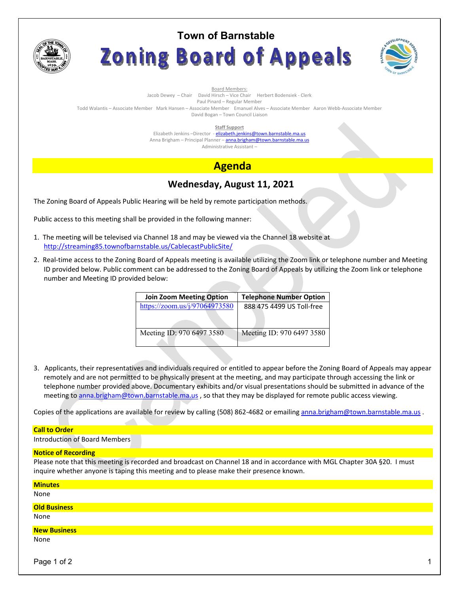

# **Town of Barnstable** Zoning Board of Appeals



Board Members:

Jacob Dewey – Chair David Hirsch – Vice Chair Herbert Bodensiek - Clerk

Paul Pinard – Regular Member

Todd Walantis – Associate Member Mark Hansen – Associate Member Emanuel Alves – Associate Member Aaron Webb-Associate Member David Bogan – Town Council Liaison

**Staff Support** 

Elizabeth Jenkins -Director - elizabeth.jenkins@town.barnstable.ma.us Anna Brigham – Principal Planner – **anna.brigham@town.barnstable.ma.us** Administrative Assistant –

# **Agenda**

# **Wednesday, August 11, 2021**

The Zoning Board of Appeals Public Hearing will be held by remote participation methods.

Public access to this meeting shall be provided in the following manner:

- 1. The meeting will be televised via Channel 18 and may be viewed via the Channel 18 website at http://streaming85.townofbarnstable.us/CablecastPublicSite/
- 2. Real-time access to the Zoning Board of Appeals meeting is available utilizing the Zoom link or telephone number and Meeting ID provided below. Public comment can be addressed to the Zoning Board of Appeals by utilizing the Zoom link or telephone number and Meeting ID provided below:

| <b>Telephone Number Option</b> |  |
|--------------------------------|--|
| 888 475 4499 US Toll-free      |  |
|                                |  |
| Meeting ID: 970 6497 3580      |  |
|                                |  |

3. Applicants, their representatives and individuals required or entitled to appear before the Zoning Board of Appeals may appear remotely and are not permitted to be physically present at the meeting, and may participate through accessing the link or telephone number provided above. Documentary exhibits and/or visual presentations should be submitted in advance of the meeting to anna.brigham@town.barnstable.ma.us , so that they may be displayed for remote public access viewing.

Copies of the applications are available for review by calling (508) 862-4682 or emailing anna.brigham@town.barnstable.ma.us .

### **Call to Order**

Introduction of Board Members

#### **Notice of Recording**

Please note that this meeting is recorded and broadcast on Channel 18 and in accordance with MGL Chapter 30A §20. I must inquire whether anyone is taping this meeting and to please make their presence known.

| <b>Minutes</b><br>None      |  |
|-----------------------------|--|
| <b>Old Business</b><br>None |  |
| <b>New Business</b><br>None |  |

Page 1 of 2  $\hphantom{\ddots}$